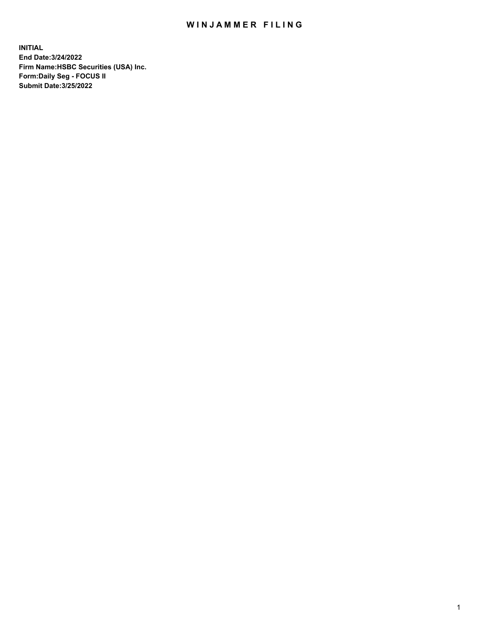## WIN JAMMER FILING

**INITIAL End Date:3/24/2022 Firm Name:HSBC Securities (USA) Inc. Form:Daily Seg - FOCUS II Submit Date:3/25/2022**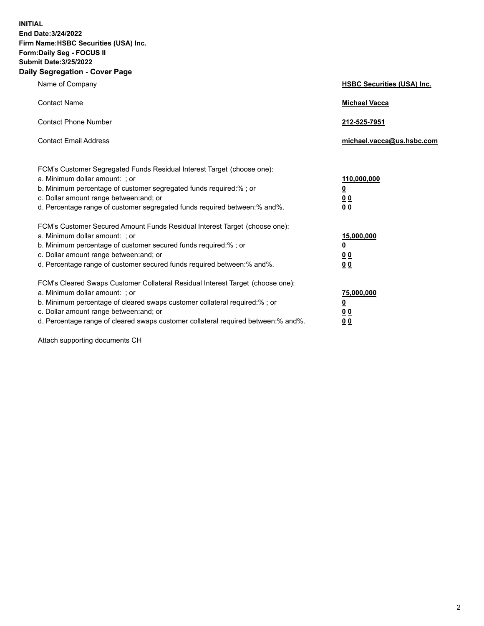**INITIAL End Date:3/24/2022 Firm Name:HSBC Securities (USA) Inc. Form:Daily Seg - FOCUS II Submit Date:3/25/2022 Daily Segregation - Cover Page**

| Name of Company                                                                                                                                                                                                                                                                                                                | <b>HSBC Securities (USA) Inc.</b>                              |
|--------------------------------------------------------------------------------------------------------------------------------------------------------------------------------------------------------------------------------------------------------------------------------------------------------------------------------|----------------------------------------------------------------|
| <b>Contact Name</b>                                                                                                                                                                                                                                                                                                            | <b>Michael Vacca</b>                                           |
| <b>Contact Phone Number</b>                                                                                                                                                                                                                                                                                                    | 212-525-7951                                                   |
| <b>Contact Email Address</b>                                                                                                                                                                                                                                                                                                   | michael.vacca@us.hsbc.com                                      |
| FCM's Customer Segregated Funds Residual Interest Target (choose one):<br>a. Minimum dollar amount: ; or<br>b. Minimum percentage of customer segregated funds required:%; or<br>c. Dollar amount range between: and; or<br>d. Percentage range of customer segregated funds required between:% and%.                          | 110,000,000<br>$\overline{\mathbf{0}}$<br>0 <sub>0</sub><br>00 |
| FCM's Customer Secured Amount Funds Residual Interest Target (choose one):<br>a. Minimum dollar amount: ; or<br>b. Minimum percentage of customer secured funds required:%; or<br>c. Dollar amount range between: and; or<br>d. Percentage range of customer secured funds required between:% and%.                            | 15,000,000<br><u>0</u><br>0 <sub>0</sub><br>00                 |
| FCM's Cleared Swaps Customer Collateral Residual Interest Target (choose one):<br>a. Minimum dollar amount: ; or<br>b. Minimum percentage of cleared swaps customer collateral required:% ; or<br>c. Dollar amount range between: and; or<br>d. Percentage range of cleared swaps customer collateral required between:% and%. | 75,000,000<br><u>0</u><br><u>00</u><br>00                      |

Attach supporting documents CH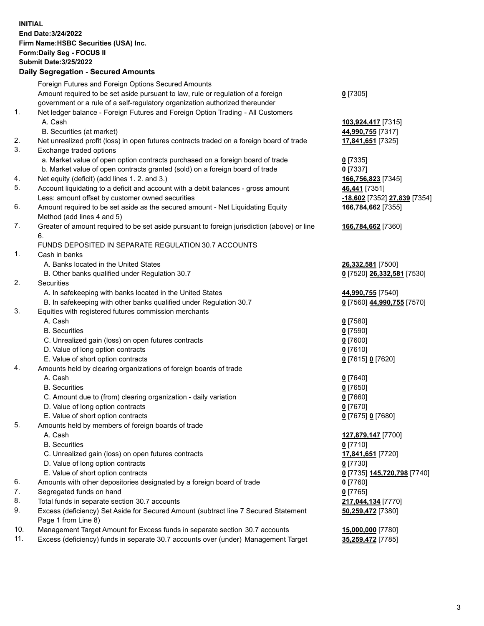**INITIAL End Date:3/24/2022 Firm Name:HSBC Securities (USA) Inc. Form:Daily Seg - FOCUS II Submit Date:3/25/2022 Daily Segregation - Secured Amounts** Foreign Futures and Foreign Options Secured Amounts Amount required to be set aside pursuant to law, rule or regulation of a foreign government or a rule of a self-regulatory organization authorized thereunder **0** [7305] 1. Net ledger balance - Foreign Futures and Foreign Option Trading - All Customers A. Cash **103,924,417** [7315] B. Securities (at market) **44,990,755** [7317] 2. Net unrealized profit (loss) in open futures contracts traded on a foreign board of trade **17,841,651** [7325] 3. Exchange traded options a. Market value of open option contracts purchased on a foreign board of trade **0** [7335] b. Market value of open contracts granted (sold) on a foreign board of trade **0** [7337] 4. Net equity (deficit) (add lines 1. 2. and 3.) **166,756,823** [7345] 5. Account liquidating to a deficit and account with a debit balances - gross amount **46,441** [7351] Less: amount offset by customer owned securities **-18,602** [7352] **27,839** [7354] 6. Amount required to be set aside as the secured amount - Net Liquidating Equity Method (add lines 4 and 5) **166,784,662** [7355] 7. Greater of amount required to be set aside pursuant to foreign jurisdiction (above) or line 6. **166,784,662** [7360] FUNDS DEPOSITED IN SEPARATE REGULATION 30.7 ACCOUNTS 1. Cash in banks A. Banks located in the United States **26,332,581** [7500] B. Other banks qualified under Regulation 30.7 **0** [7520] **26,332,581** [7530] 2. Securities A. In safekeeping with banks located in the United States **44,990,755** [7540] B. In safekeeping with other banks qualified under Regulation 30.7 **0** [7560] **44,990,755** [7570] 3. Equities with registered futures commission merchants A. Cash **0** [7580] B. Securities **0** [7590] C. Unrealized gain (loss) on open futures contracts **0** [7600] D. Value of long option contracts **0** [7610] E. Value of short option contracts **0** [7615] **0** [7620] 4. Amounts held by clearing organizations of foreign boards of trade A. Cash **0** [7640] B. Securities **0** [7650] C. Amount due to (from) clearing organization - daily variation **0** [7660] D. Value of long option contracts **0** [7670] E. Value of short option contracts **0** [7675] **0** [7680] 5. Amounts held by members of foreign boards of trade A. Cash **127,879,147** [7700] B. Securities **0** [7710] C. Unrealized gain (loss) on open futures contracts **17,841,651** [7720] D. Value of long option contracts **0** [7730] E. Value of short option contracts **0** [7735] **145,720,798** [7740] 6. Amounts with other depositories designated by a foreign board of trade **0** [7760] 7. Segregated funds on hand **0** [7765]

- 8. Total funds in separate section 30.7 accounts **217,044,134** [7770]
- 9. Excess (deficiency) Set Aside for Secured Amount (subtract line 7 Secured Statement Page 1 from Line 8)
- 10. Management Target Amount for Excess funds in separate section 30.7 accounts **15,000,000** [7780]

11. Excess (deficiency) funds in separate 30.7 accounts over (under) Management Target **35,259,472** [7785]

**50,259,472** [7380]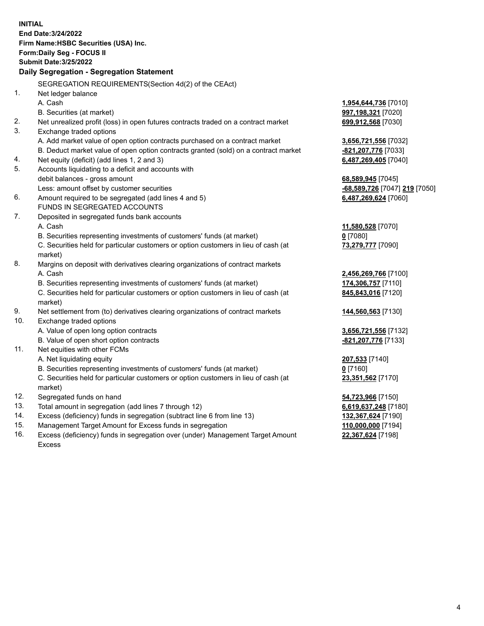**INITIAL End Date:3/24/2022 Firm Name:HSBC Securities (USA) Inc. Form:Daily Seg - FOCUS II Submit Date:3/25/2022 Daily Segregation - Segregation Statement** SEGREGATION REQUIREMENTS(Section 4d(2) of the CEAct) 1. Net ledger balance A. Cash **1,954,644,736** [7010] B. Securities (at market) **997,198,321** [7020] 2. Net unrealized profit (loss) in open futures contracts traded on a contract market **699,912,568** [7030] 3. Exchange traded options A. Add market value of open option contracts purchased on a contract market **3,656,721,556** [7032] B. Deduct market value of open option contracts granted (sold) on a contract market **-821,207,776** [7033] 4. Net equity (deficit) (add lines 1, 2 and 3) **6,487,269,405** [7040] 5. Accounts liquidating to a deficit and accounts with debit balances - gross amount **68,589,945** [7045] Less: amount offset by customer securities **-68,589,726** [7047] **219** [7050] 6. Amount required to be segregated (add lines 4 and 5) **6,487,269,624** [7060] FUNDS IN SEGREGATED ACCOUNTS 7. Deposited in segregated funds bank accounts A. Cash **11,580,528** [7070] B. Securities representing investments of customers' funds (at market) **0** [7080] C. Securities held for particular customers or option customers in lieu of cash (at market) **73,279,777** [7090] 8. Margins on deposit with derivatives clearing organizations of contract markets A. Cash **2,456,269,766** [7100] B. Securities representing investments of customers' funds (at market) **174,306,757** [7110] C. Securities held for particular customers or option customers in lieu of cash (at market) **845,843,016** [7120] 9. Net settlement from (to) derivatives clearing organizations of contract markets **144,560,563** [7130] 10. Exchange traded options A. Value of open long option contracts **3,656,721,556** [7132] B. Value of open short option contracts **-821,207,776** [7133] 11. Net equities with other FCMs A. Net liquidating equity **207,533** [7140] B. Securities representing investments of customers' funds (at market) **0** [7160] C. Securities held for particular customers or option customers in lieu of cash (at market) **23,351,562** [7170] 12. Segregated funds on hand **54,723,966** [7150] 13. Total amount in segregation (add lines 7 through 12) **6,619,637,248** [7180] 14. Excess (deficiency) funds in segregation (subtract line 6 from line 13) **132,367,624** [7190] 15. Management Target Amount for Excess funds in segregation **110,000,000** [7194]

16. Excess (deficiency) funds in segregation over (under) Management Target Amount Excess

**22,367,624** [7198]